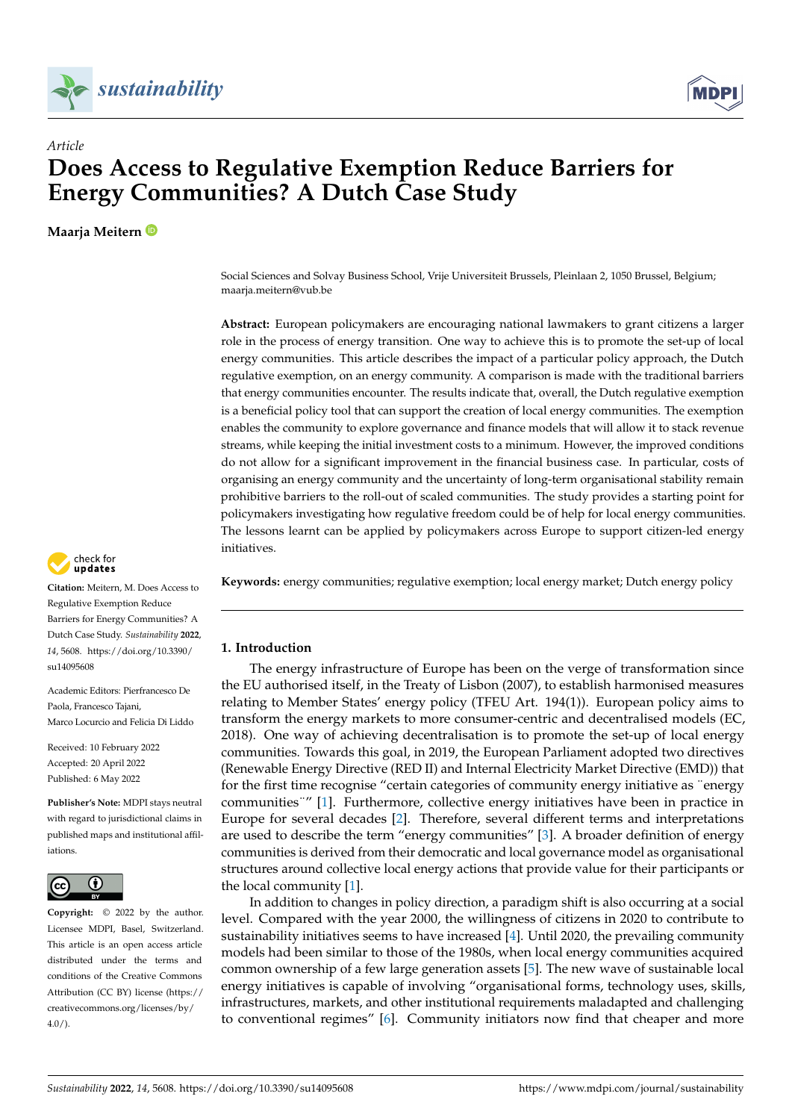



# *Article* **Does Access to Regulative Exemption Reduce Barriers for Energy Communities? A Dutch Case Study**

**Maarja Meitern**

Social Sciences and Solvay Business School, Vrije Universiteit Brussels, Pleinlaan 2, 1050 Brussel, Belgium; maarja.meitern@vub.be

**Abstract:** European policymakers are encouraging national lawmakers to grant citizens a larger role in the process of energy transition. One way to achieve this is to promote the set-up of local energy communities. This article describes the impact of a particular policy approach, the Dutch regulative exemption, on an energy community. A comparison is made with the traditional barriers that energy communities encounter. The results indicate that, overall, the Dutch regulative exemption is a beneficial policy tool that can support the creation of local energy communities. The exemption enables the community to explore governance and finance models that will allow it to stack revenue streams, while keeping the initial investment costs to a minimum. However, the improved conditions do not allow for a significant improvement in the financial business case. In particular, costs of organising an energy community and the uncertainty of long-term organisational stability remain prohibitive barriers to the roll-out of scaled communities. The study provides a starting point for policymakers investigating how regulative freedom could be of help for local energy communities. The lessons learnt can be applied by policymakers across Europe to support citizen-led energy initiatives.

**Keywords:** energy communities; regulative exemption; local energy market; Dutch energy policy

# **1. Introduction**

The energy infrastructure of Europe has been on the verge of transformation since the EU authorised itself, in the Treaty of Lisbon (2007), to establish harmonised measures relating to Member States' energy policy (TFEU Art. 194(1)). European policy aims to transform the energy markets to more consumer-centric and decentralised models (EC, 2018). One way of achieving decentralisation is to promote the set-up of local energy communities. Towards this goal, in 2019, the European Parliament adopted two directives (Renewable Energy Directive (RED II) and Internal Electricity Market Directive (EMD)) that for the first time recognise "certain categories of community energy initiative as "energy" communities¨" [\[1\]](#page-10-0). Furthermore, collective energy initiatives have been in practice in Europe for several decades [\[2\]](#page-10-1). Therefore, several different terms and interpretations are used to describe the term "energy communities" [\[3\]](#page-10-2). A broader definition of energy communities is derived from their democratic and local governance model as organisational structures around collective local energy actions that provide value for their participants or the local community [\[1\]](#page-10-0).

In addition to changes in policy direction, a paradigm shift is also occurring at a social level. Compared with the year 2000, the willingness of citizens in 2020 to contribute to sustainability initiatives seems to have increased [\[4\]](#page-10-3). Until 2020, the prevailing community models had been similar to those of the 1980s, when local energy communities acquired common ownership of a few large generation assets [\[5\]](#page-10-4). The new wave of sustainable local energy initiatives is capable of involving "organisational forms, technology uses, skills, infrastructures, markets, and other institutional requirements maladapted and challenging to conventional regimes" [\[6\]](#page-10-5). Community initiators now find that cheaper and more



**Citation:** Meitern, M. Does Access to Regulative Exemption Reduce Barriers for Energy Communities? A Dutch Case Study. *Sustainability* **2022**, *14*, 5608. [https://doi.org/10.3390/](https://doi.org/10.3390/su14095608) [su14095608](https://doi.org/10.3390/su14095608)

Academic Editors: Pierfrancesco De Paola, Francesco Tajani, Marco Locurcio and Felicia Di Liddo

Received: 10 February 2022 Accepted: 20 April 2022 Published: 6 May 2022

**Publisher's Note:** MDPI stays neutral with regard to jurisdictional claims in published maps and institutional affiliations.



**Copyright:** © 2022 by the author. Licensee MDPI, Basel, Switzerland. This article is an open access article distributed under the terms and conditions of the Creative Commons Attribution (CC BY) license [\(https://](https://creativecommons.org/licenses/by/4.0/) [creativecommons.org/licenses/by/](https://creativecommons.org/licenses/by/4.0/)  $4.0/$ ).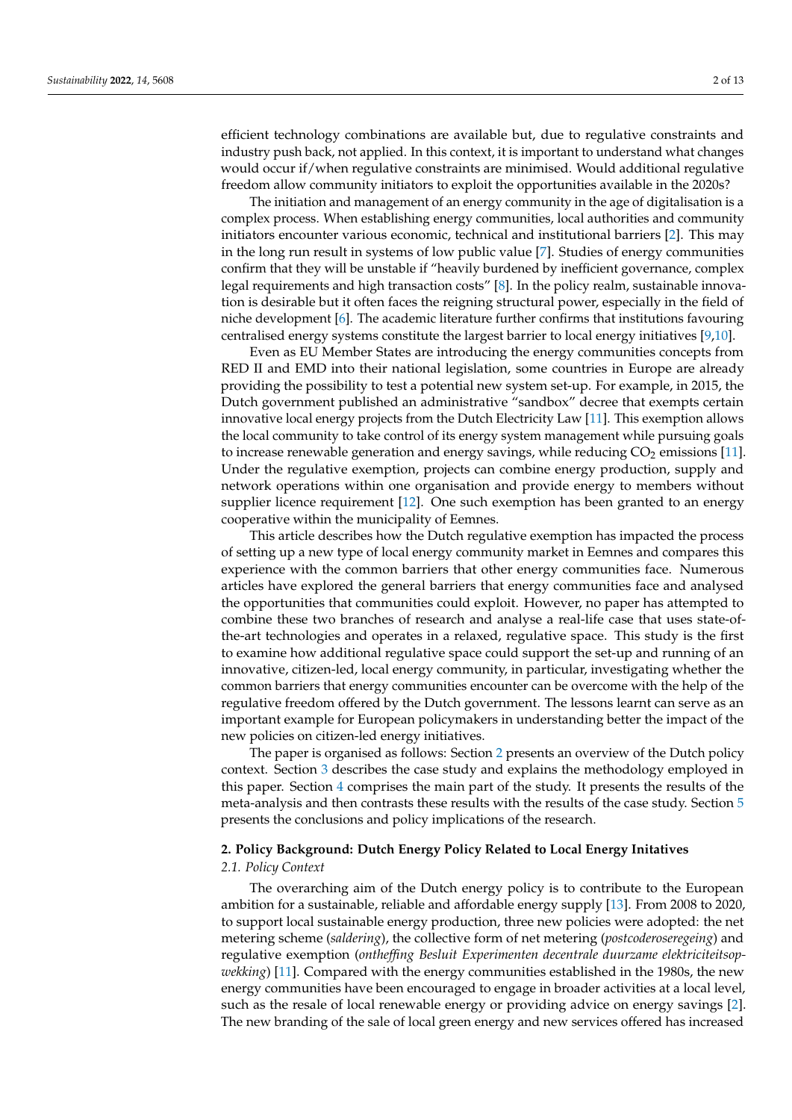efficient technology combinations are available but, due to regulative constraints and industry push back, not applied. In this context, it is important to understand what changes would occur if/when regulative constraints are minimised. Would additional regulative freedom allow community initiators to exploit the opportunities available in the 2020s?

The initiation and management of an energy community in the age of digitalisation is a complex process. When establishing energy communities, local authorities and community initiators encounter various economic, technical and institutional barriers [\[2\]](#page-10-1). This may in the long run result in systems of low public value [\[7\]](#page-10-6). Studies of energy communities confirm that they will be unstable if "heavily burdened by inefficient governance, complex legal requirements and high transaction costs" [\[8\]](#page-10-7). In the policy realm, sustainable innovation is desirable but it often faces the reigning structural power, especially in the field of niche development [\[6\]](#page-10-5). The academic literature further confirms that institutions favouring centralised energy systems constitute the largest barrier to local energy initiatives [\[9](#page-10-8)[,10\]](#page-10-9).

Even as EU Member States are introducing the energy communities concepts from RED II and EMD into their national legislation, some countries in Europe are already providing the possibility to test a potential new system set-up. For example, in 2015, the Dutch government published an administrative "sandbox" decree that exempts certain innovative local energy projects from the Dutch Electricity Law [\[11\]](#page-10-10). This exemption allows the local community to take control of its energy system management while pursuing goals to increase renewable generation and energy savings, while reducing  $CO<sub>2</sub>$  emissions [\[11\]](#page-10-10). Under the regulative exemption, projects can combine energy production, supply and network operations within one organisation and provide energy to members without supplier licence requirement [\[12\]](#page-10-11). One such exemption has been granted to an energy cooperative within the municipality of Eemnes.

This article describes how the Dutch regulative exemption has impacted the process of setting up a new type of local energy community market in Eemnes and compares this experience with the common barriers that other energy communities face. Numerous articles have explored the general barriers that energy communities face and analysed the opportunities that communities could exploit. However, no paper has attempted to combine these two branches of research and analyse a real-life case that uses state-ofthe-art technologies and operates in a relaxed, regulative space. This study is the first to examine how additional regulative space could support the set-up and running of an innovative, citizen-led, local energy community, in particular, investigating whether the common barriers that energy communities encounter can be overcome with the help of the regulative freedom offered by the Dutch government. The lessons learnt can serve as an important example for European policymakers in understanding better the impact of the new policies on citizen-led energy initiatives.

The paper is organised as follows: Section [2](#page-1-0) presents an overview of the Dutch policy context. Section [3](#page-3-0) describes the case study and explains the methodology employed in this paper. Section [4](#page-4-0) comprises the main part of the study. It presents the results of the meta-analysis and then contrasts these results with the results of the case study. Section [5](#page-9-0) presents the conclusions and policy implications of the research.

# <span id="page-1-0"></span>**2. Policy Background: Dutch Energy Policy Related to Local Energy Initatives**

#### *2.1. Policy Context*

The overarching aim of the Dutch energy policy is to contribute to the European ambition for a sustainable, reliable and affordable energy supply [\[13\]](#page-10-12). From 2008 to 2020, to support local sustainable energy production, three new policies were adopted: the net metering scheme (*saldering*), the collective form of net metering (*postcoderoseregeing*) and regulative exemption (*ontheffing Besluit Experimenten decentrale duurzame elektriciteitsopwekking*) [\[11\]](#page-10-10). Compared with the energy communities established in the 1980s, the new energy communities have been encouraged to engage in broader activities at a local level, such as the resale of local renewable energy or providing advice on energy savings [\[2\]](#page-10-1). The new branding of the sale of local green energy and new services offered has increased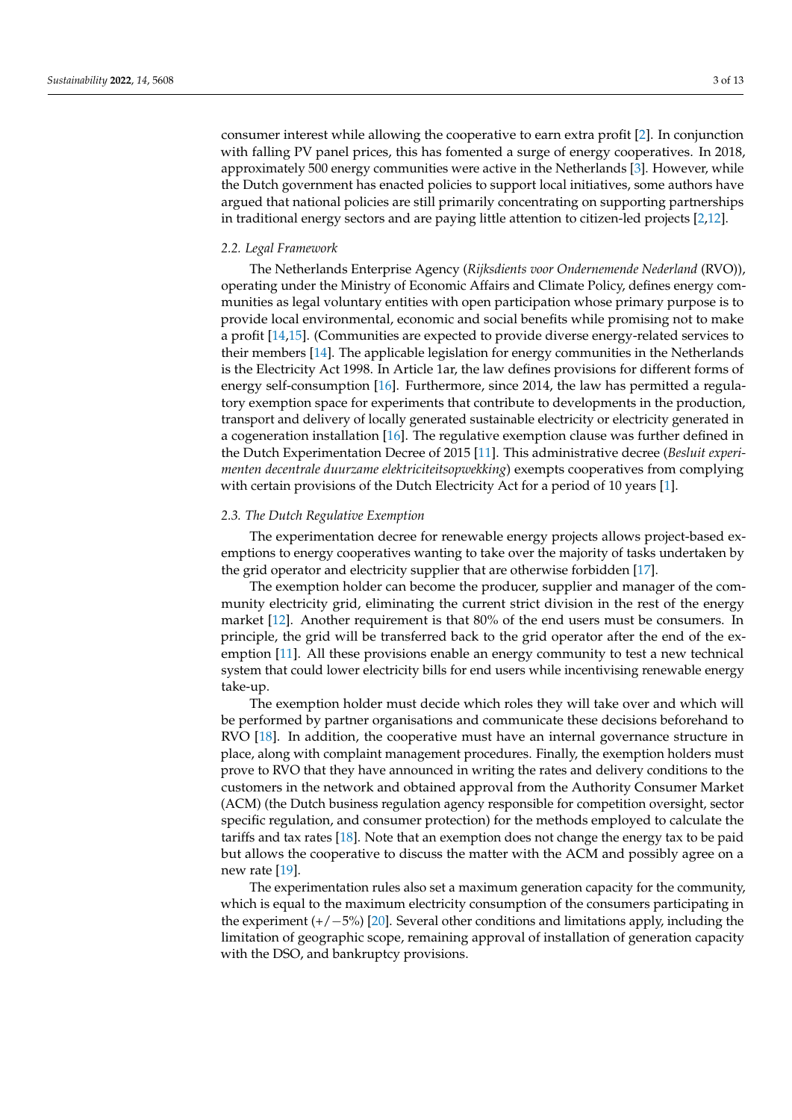consumer interest while allowing the cooperative to earn extra profit [\[2\]](#page-10-1). In conjunction with falling PV panel prices, this has fomented a surge of energy cooperatives. In 2018, approximately 500 energy communities were active in the Netherlands [\[3\]](#page-10-2). However, while the Dutch government has enacted policies to support local initiatives, some authors have argued that national policies are still primarily concentrating on supporting partnerships in traditional energy sectors and are paying little attention to citizen-led projects [\[2,](#page-10-1)[12\]](#page-10-11).

#### *2.2. Legal Framework*

The Netherlands Enterprise Agency (*Rijksdients voor Ondernemende Nederland* (RVO)), operating under the Ministry of Economic Affairs and Climate Policy, defines energy communities as legal voluntary entities with open participation whose primary purpose is to provide local environmental, economic and social benefits while promising not to make a profit [\[14,](#page-10-13)[15\]](#page-10-14). (Communities are expected to provide diverse energy-related services to their members [\[14\]](#page-10-13). The applicable legislation for energy communities in the Netherlands is the Electricity Act 1998. In Article 1ar, the law defines provisions for different forms of energy self-consumption [\[16\]](#page-10-15). Furthermore, since 2014, the law has permitted a regulatory exemption space for experiments that contribute to developments in the production, transport and delivery of locally generated sustainable electricity or electricity generated in a cogeneration installation [\[16\]](#page-10-15). The regulative exemption clause was further defined in the Dutch Experimentation Decree of 2015 [\[11\]](#page-10-10). This administrative decree (*Besluit experimenten decentrale duurzame elektriciteitsopwekking*) exempts cooperatives from complying with certain provisions of the Dutch Electricity Act for a period of 10 years [\[1\]](#page-10-0).

#### *2.3. The Dutch Regulative Exemption*

The experimentation decree for renewable energy projects allows project-based exemptions to energy cooperatives wanting to take over the majority of tasks undertaken by the grid operator and electricity supplier that are otherwise forbidden [\[17\]](#page-11-0).

The exemption holder can become the producer, supplier and manager of the community electricity grid, eliminating the current strict division in the rest of the energy market [\[12\]](#page-10-11). Another requirement is that 80% of the end users must be consumers. In principle, the grid will be transferred back to the grid operator after the end of the exemption [\[11\]](#page-10-10). All these provisions enable an energy community to test a new technical system that could lower electricity bills for end users while incentivising renewable energy take-up.

The exemption holder must decide which roles they will take over and which will be performed by partner organisations and communicate these decisions beforehand to RVO [\[18\]](#page-11-1). In addition, the cooperative must have an internal governance structure in place, along with complaint management procedures. Finally, the exemption holders must prove to RVO that they have announced in writing the rates and delivery conditions to the customers in the network and obtained approval from the Authority Consumer Market (ACM) (the Dutch business regulation agency responsible for competition oversight, sector specific regulation, and consumer protection) for the methods employed to calculate the tariffs and tax rates [\[18\]](#page-11-1). Note that an exemption does not change the energy tax to be paid but allows the cooperative to discuss the matter with the ACM and possibly agree on a new rate [\[19\]](#page-11-2).

The experimentation rules also set a maximum generation capacity for the community, which is equal to the maximum electricity consumption of the consumers participating in the experiment (+/−5%) [\[20\]](#page-11-3). Several other conditions and limitations apply, including the limitation of geographic scope, remaining approval of installation of generation capacity with the DSO, and bankruptcy provisions.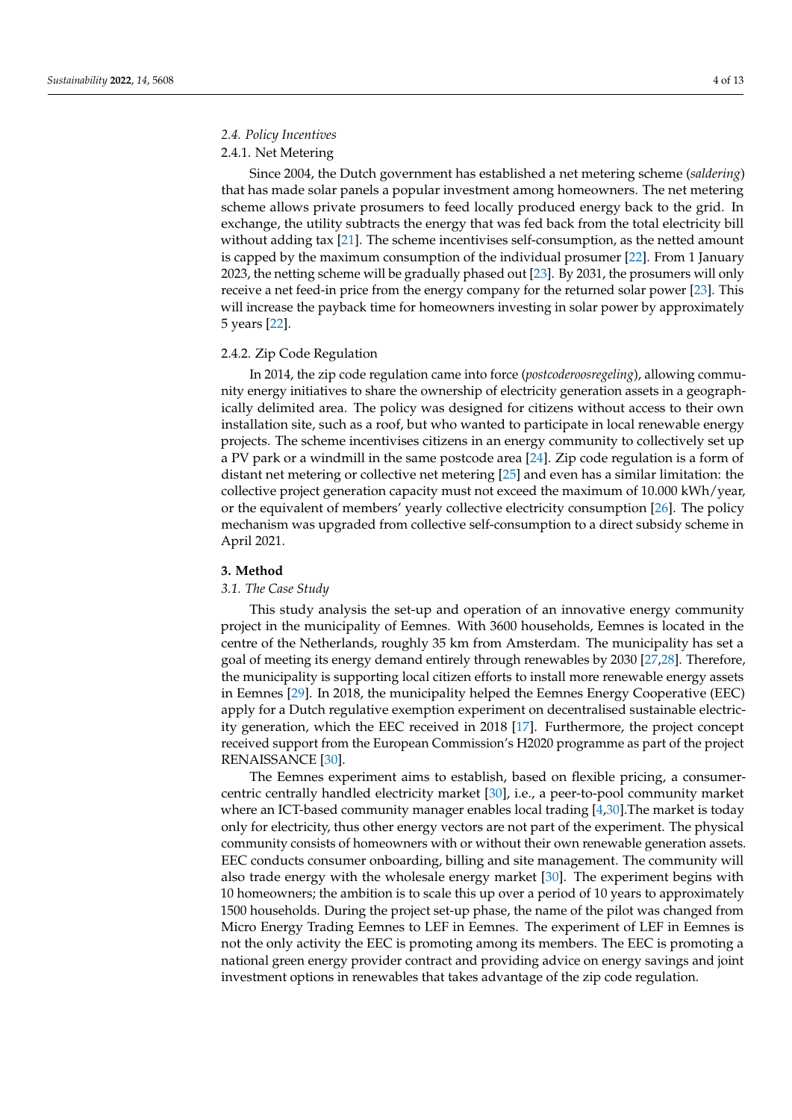# *2.4. Policy Incentives*

# 2.4.1. Net Metering

Since 2004, the Dutch government has established a net metering scheme (*saldering*) that has made solar panels a popular investment among homeowners. The net metering scheme allows private prosumers to feed locally produced energy back to the grid. In exchange, the utility subtracts the energy that was fed back from the total electricity bill without adding tax [\[21\]](#page-11-4). The scheme incentivises self-consumption, as the netted amount is capped by the maximum consumption of the individual prosumer [\[22\]](#page-11-5). From 1 January 2023, the netting scheme will be gradually phased out [\[23\]](#page-11-6). By 2031, the prosumers will only receive a net feed-in price from the energy company for the returned solar power [\[23\]](#page-11-6). This will increase the payback time for homeowners investing in solar power by approximately 5 years [\[22\]](#page-11-5).

## 2.4.2. Zip Code Regulation

In 2014, the zip code regulation came into force (*postcoderoosregeling*), allowing community energy initiatives to share the ownership of electricity generation assets in a geographically delimited area. The policy was designed for citizens without access to their own installation site, such as a roof, but who wanted to participate in local renewable energy projects. The scheme incentivises citizens in an energy community to collectively set up a PV park or a windmill in the same postcode area [\[24\]](#page-11-7). Zip code regulation is a form of distant net metering or collective net metering [\[25\]](#page-11-8) and even has a similar limitation: the collective project generation capacity must not exceed the maximum of 10.000 kWh/year, or the equivalent of members' yearly collective electricity consumption [\[26\]](#page-11-9). The policy mechanism was upgraded from collective self-consumption to a direct subsidy scheme in April 2021.

#### <span id="page-3-0"></span>**3. Method**

## *3.1. The Case Study*

This study analysis the set-up and operation of an innovative energy community project in the municipality of Eemnes. With 3600 households, Eemnes is located in the centre of the Netherlands, roughly 35 km from Amsterdam. The municipality has set a goal of meeting its energy demand entirely through renewables by 2030 [\[27](#page-11-10)[,28\]](#page-11-11). Therefore, the municipality is supporting local citizen efforts to install more renewable energy assets in Eemnes [\[29\]](#page-11-12). In 2018, the municipality helped the Eemnes Energy Cooperative (EEC) apply for a Dutch regulative exemption experiment on decentralised sustainable electricity generation, which the EEC received in 2018 [\[17\]](#page-11-0). Furthermore, the project concept received support from the European Commission's H2020 programme as part of the project RENAISSANCE [\[30\]](#page-11-13).

The Eemnes experiment aims to establish, based on flexible pricing, a consumercentric centrally handled electricity market [\[30\]](#page-11-13), i.e., a peer-to-pool community market where an ICT-based community manager enables local trading [\[4](#page-10-3)[,30\]](#page-11-13).The market is today only for electricity, thus other energy vectors are not part of the experiment. The physical community consists of homeowners with or without their own renewable generation assets. EEC conducts consumer onboarding, billing and site management. The community will also trade energy with the wholesale energy market [\[30\]](#page-11-13). The experiment begins with 10 homeowners; the ambition is to scale this up over a period of 10 years to approximately 1500 households. During the project set-up phase, the name of the pilot was changed from Micro Energy Trading Eemnes to LEF in Eemnes. The experiment of LEF in Eemnes is not the only activity the EEC is promoting among its members. The EEC is promoting a national green energy provider contract and providing advice on energy savings and joint investment options in renewables that takes advantage of the zip code regulation.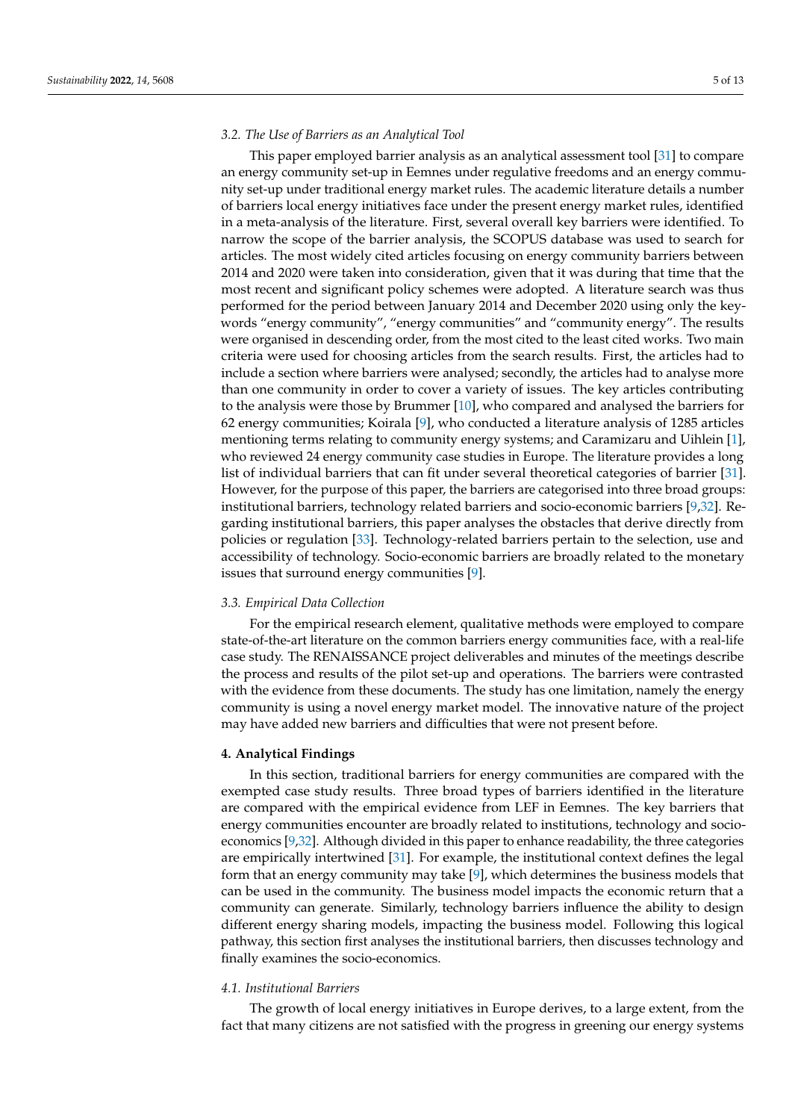#### *3.2. The Use of Barriers as an Analytical Tool*

This paper employed barrier analysis as an analytical assessment tool [\[31\]](#page-11-14) to compare an energy community set-up in Eemnes under regulative freedoms and an energy community set-up under traditional energy market rules. The academic literature details a number of barriers local energy initiatives face under the present energy market rules, identified in a meta-analysis of the literature. First, several overall key barriers were identified. To narrow the scope of the barrier analysis, the SCOPUS database was used to search for articles. The most widely cited articles focusing on energy community barriers between 2014 and 2020 were taken into consideration, given that it was during that time that the most recent and significant policy schemes were adopted. A literature search was thus performed for the period between January 2014 and December 2020 using only the keywords "energy community", "energy communities" and "community energy". The results were organised in descending order, from the most cited to the least cited works. Two main criteria were used for choosing articles from the search results. First, the articles had to include a section where barriers were analysed; secondly, the articles had to analyse more than one community in order to cover a variety of issues. The key articles contributing to the analysis were those by Brummer [\[10\]](#page-10-9), who compared and analysed the barriers for 62 energy communities; Koirala [\[9\]](#page-10-8), who conducted a literature analysis of 1285 articles mentioning terms relating to community energy systems; and Caramizaru and Uihlein [\[1\]](#page-10-0), who reviewed 24 energy community case studies in Europe. The literature provides a long list of individual barriers that can fit under several theoretical categories of barrier [\[31\]](#page-11-14). However, for the purpose of this paper, the barriers are categorised into three broad groups: institutional barriers, technology related barriers and socio-economic barriers [\[9,](#page-10-8)[32\]](#page-11-15). Regarding institutional barriers, this paper analyses the obstacles that derive directly from policies or regulation [\[33\]](#page-11-16). Technology-related barriers pertain to the selection, use and accessibility of technology. Socio-economic barriers are broadly related to the monetary issues that surround energy communities [\[9\]](#page-10-8).

#### *3.3. Empirical Data Collection*

For the empirical research element, qualitative methods were employed to compare state-of-the-art literature on the common barriers energy communities face, with a real-life case study. The RENAISSANCE project deliverables and minutes of the meetings describe the process and results of the pilot set-up and operations. The barriers were contrasted with the evidence from these documents. The study has one limitation, namely the energy community is using a novel energy market model. The innovative nature of the project may have added new barriers and difficulties that were not present before.

#### <span id="page-4-0"></span>**4. Analytical Findings**

In this section, traditional barriers for energy communities are compared with the exempted case study results. Three broad types of barriers identified in the literature are compared with the empirical evidence from LEF in Eemnes. The key barriers that energy communities encounter are broadly related to institutions, technology and socioeconomics [\[9](#page-10-8)[,32\]](#page-11-15). Although divided in this paper to enhance readability, the three categories are empirically intertwined [\[31\]](#page-11-14). For example, the institutional context defines the legal form that an energy community may take [\[9\]](#page-10-8), which determines the business models that can be used in the community. The business model impacts the economic return that a community can generate. Similarly, technology barriers influence the ability to design different energy sharing models, impacting the business model. Following this logical pathway, this section first analyses the institutional barriers, then discusses technology and finally examines the socio-economics.

#### *4.1. Institutional Barriers*

The growth of local energy initiatives in Europe derives, to a large extent, from the fact that many citizens are not satisfied with the progress in greening our energy systems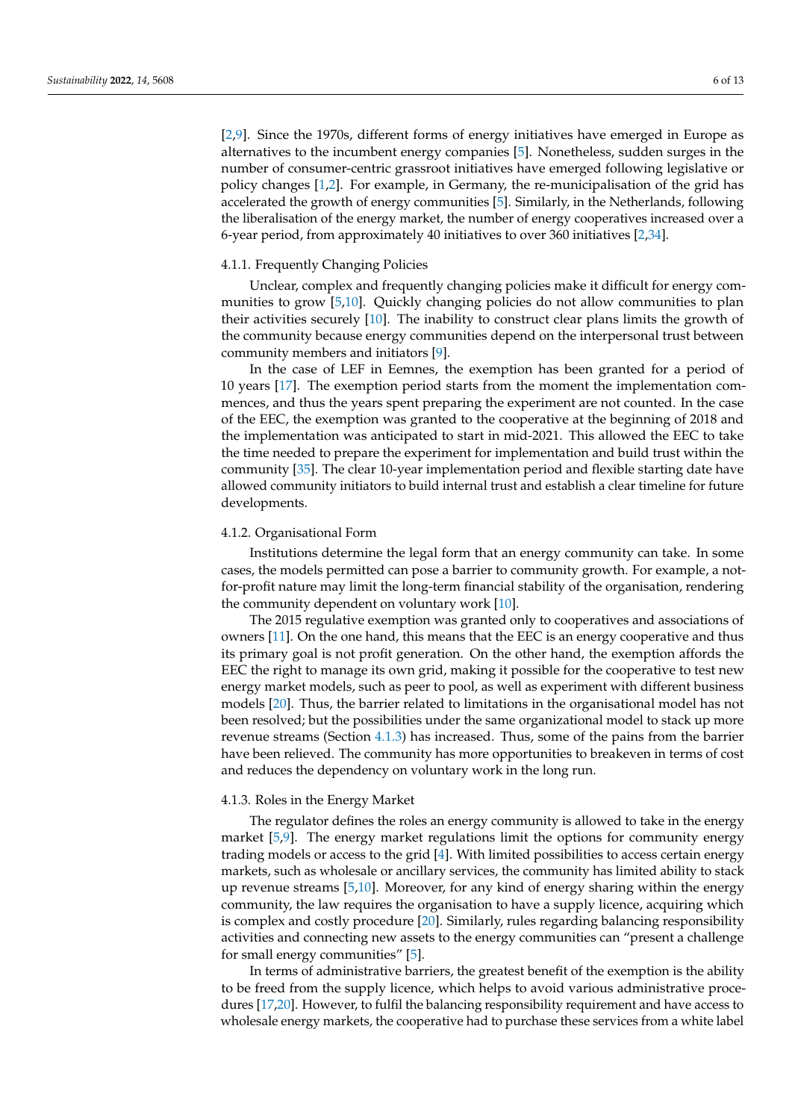[\[2](#page-10-1)[,9\]](#page-10-8). Since the 1970s, different forms of energy initiatives have emerged in Europe as alternatives to the incumbent energy companies [\[5\]](#page-10-4). Nonetheless, sudden surges in the number of consumer-centric grassroot initiatives have emerged following legislative or policy changes [\[1,](#page-10-0)[2\]](#page-10-1). For example, in Germany, the re-municipalisation of the grid has accelerated the growth of energy communities [\[5\]](#page-10-4). Similarly, in the Netherlands, following the liberalisation of the energy market, the number of energy cooperatives increased over a 6-year period, from approximately 40 initiatives to over 360 initiatives [\[2](#page-10-1)[,34\]](#page-11-17).

#### 4.1.1. Frequently Changing Policies

Unclear, complex and frequently changing policies make it difficult for energy communities to grow [\[5](#page-10-4)[,10\]](#page-10-9). Quickly changing policies do not allow communities to plan their activities securely [\[10\]](#page-10-9). The inability to construct clear plans limits the growth of the community because energy communities depend on the interpersonal trust between community members and initiators [\[9\]](#page-10-8).

In the case of LEF in Eemnes, the exemption has been granted for a period of 10 years [\[17\]](#page-11-0). The exemption period starts from the moment the implementation commences, and thus the years spent preparing the experiment are not counted. In the case of the EEC, the exemption was granted to the cooperative at the beginning of 2018 and the implementation was anticipated to start in mid-2021. This allowed the EEC to take the time needed to prepare the experiment for implementation and build trust within the community [\[35\]](#page-11-18). The clear 10-year implementation period and flexible starting date have allowed community initiators to build internal trust and establish a clear timeline for future developments.

#### 4.1.2. Organisational Form

Institutions determine the legal form that an energy community can take. In some cases, the models permitted can pose a barrier to community growth. For example, a notfor-profit nature may limit the long-term financial stability of the organisation, rendering the community dependent on voluntary work [\[10\]](#page-10-9).

The 2015 regulative exemption was granted only to cooperatives and associations of owners [\[11\]](#page-10-10). On the one hand, this means that the EEC is an energy cooperative and thus its primary goal is not profit generation. On the other hand, the exemption affords the EEC the right to manage its own grid, making it possible for the cooperative to test new energy market models, such as peer to pool, as well as experiment with different business models [\[20\]](#page-11-3). Thus, the barrier related to limitations in the organisational model has not been resolved; but the possibilities under the same organizational model to stack up more revenue streams (Section [4.1.3\)](#page-5-0) has increased. Thus, some of the pains from the barrier have been relieved. The community has more opportunities to breakeven in terms of cost and reduces the dependency on voluntary work in the long run.

#### <span id="page-5-0"></span>4.1.3. Roles in the Energy Market

The regulator defines the roles an energy community is allowed to take in the energy market [\[5](#page-10-4)[,9\]](#page-10-8). The energy market regulations limit the options for community energy trading models or access to the grid [\[4\]](#page-10-3). With limited possibilities to access certain energy markets, such as wholesale or ancillary services, the community has limited ability to stack up revenue streams [\[5,](#page-10-4)[10\]](#page-10-9). Moreover, for any kind of energy sharing within the energy community, the law requires the organisation to have a supply licence, acquiring which is complex and costly procedure [\[20\]](#page-11-3). Similarly, rules regarding balancing responsibility activities and connecting new assets to the energy communities can "present a challenge for small energy communities" [\[5\]](#page-10-4).

In terms of administrative barriers, the greatest benefit of the exemption is the ability to be freed from the supply licence, which helps to avoid various administrative procedures [\[17,](#page-11-0)[20\]](#page-11-3). However, to fulfil the balancing responsibility requirement and have access to wholesale energy markets, the cooperative had to purchase these services from a white label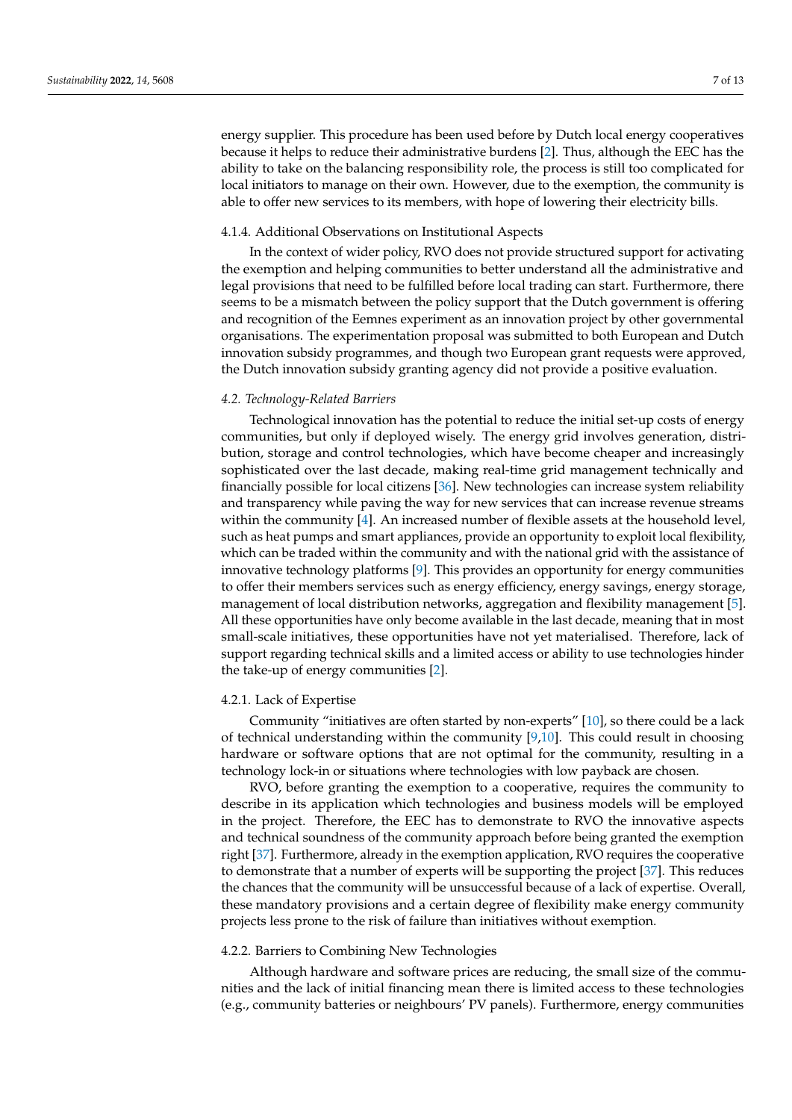energy supplier. This procedure has been used before by Dutch local energy cooperatives because it helps to reduce their administrative burdens [\[2\]](#page-10-1). Thus, although the EEC has the ability to take on the balancing responsibility role, the process is still too complicated for local initiators to manage on their own. However, due to the exemption, the community is able to offer new services to its members, with hope of lowering their electricity bills.

## 4.1.4. Additional Observations on Institutional Aspects

In the context of wider policy, RVO does not provide structured support for activating the exemption and helping communities to better understand all the administrative and legal provisions that need to be fulfilled before local trading can start. Furthermore, there seems to be a mismatch between the policy support that the Dutch government is offering and recognition of the Eemnes experiment as an innovation project by other governmental organisations. The experimentation proposal was submitted to both European and Dutch innovation subsidy programmes, and though two European grant requests were approved, the Dutch innovation subsidy granting agency did not provide a positive evaluation.

# <span id="page-6-0"></span>*4.2. Technology-Related Barriers*

Technological innovation has the potential to reduce the initial set-up costs of energy communities, but only if deployed wisely. The energy grid involves generation, distribution, storage and control technologies, which have become cheaper and increasingly sophisticated over the last decade, making real-time grid management technically and financially possible for local citizens [\[36\]](#page-11-19). New technologies can increase system reliability and transparency while paving the way for new services that can increase revenue streams within the community [\[4\]](#page-10-3). An increased number of flexible assets at the household level, such as heat pumps and smart appliances, provide an opportunity to exploit local flexibility, which can be traded within the community and with the national grid with the assistance of innovative technology platforms [\[9\]](#page-10-8). This provides an opportunity for energy communities to offer their members services such as energy efficiency, energy savings, energy storage, management of local distribution networks, aggregation and flexibility management [\[5\]](#page-10-4). All these opportunities have only become available in the last decade, meaning that in most small-scale initiatives, these opportunities have not yet materialised. Therefore, lack of support regarding technical skills and a limited access or ability to use technologies hinder the take-up of energy communities [\[2\]](#page-10-1).

# 4.2.1. Lack of Expertise

Community "initiatives are often started by non-experts" [\[10\]](#page-10-9), so there could be a lack of technical understanding within the community [\[9](#page-10-8)[,10\]](#page-10-9). This could result in choosing hardware or software options that are not optimal for the community, resulting in a technology lock-in or situations where technologies with low payback are chosen.

RVO, before granting the exemption to a cooperative, requires the community to describe in its application which technologies and business models will be employed in the project. Therefore, the EEC has to demonstrate to RVO the innovative aspects and technical soundness of the community approach before being granted the exemption right [\[37\]](#page-11-20). Furthermore, already in the exemption application, RVO requires the cooperative to demonstrate that a number of experts will be supporting the project [\[37\]](#page-11-20). This reduces the chances that the community will be unsuccessful because of a lack of expertise. Overall, these mandatory provisions and a certain degree of flexibility make energy community projects less prone to the risk of failure than initiatives without exemption.

# <span id="page-6-1"></span>4.2.2. Barriers to Combining New Technologies

Although hardware and software prices are reducing, the small size of the communities and the lack of initial financing mean there is limited access to these technologies (e.g., community batteries or neighbours' PV panels). Furthermore, energy communities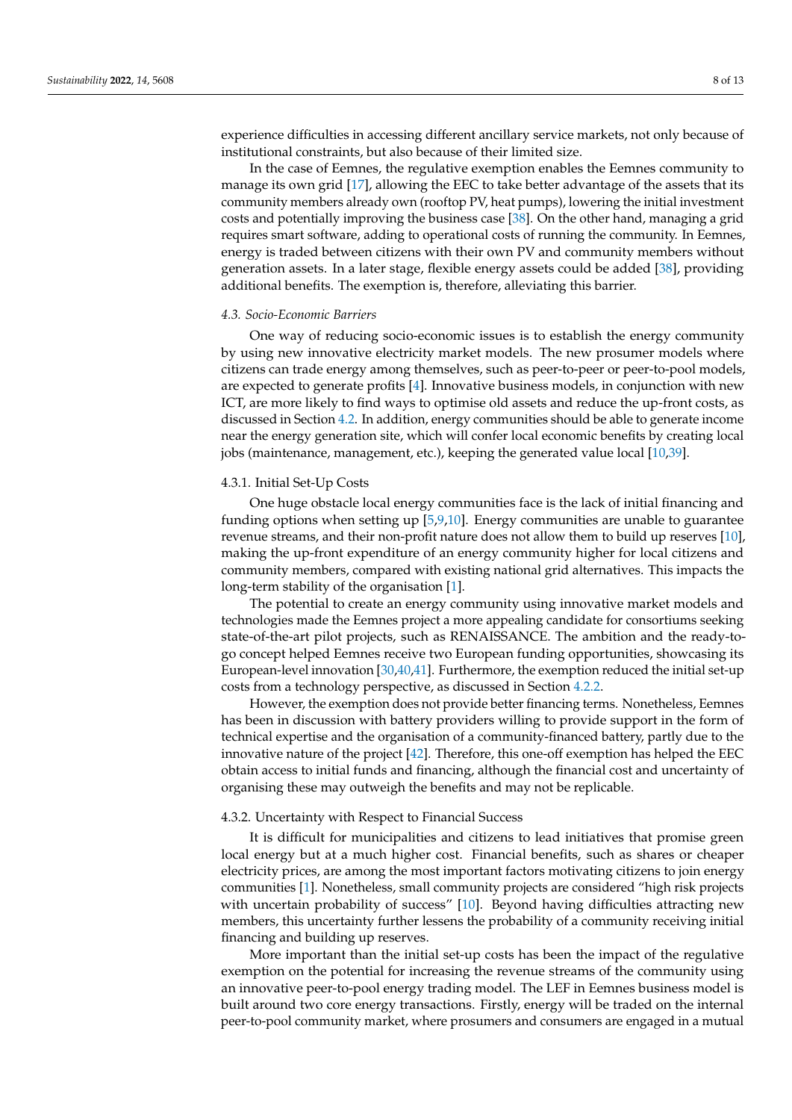experience difficulties in accessing different ancillary service markets, not only because of institutional constraints, but also because of their limited size.

In the case of Eemnes, the regulative exemption enables the Eemnes community to manage its own grid [\[17\]](#page-11-0), allowing the EEC to take better advantage of the assets that its community members already own (rooftop PV, heat pumps), lowering the initial investment costs and potentially improving the business case [\[38\]](#page-11-21). On the other hand, managing a grid requires smart software, adding to operational costs of running the community. In Eemnes, energy is traded between citizens with their own PV and community members without generation assets. In a later stage, flexible energy assets could be added [\[38\]](#page-11-21), providing additional benefits. The exemption is, therefore, alleviating this barrier.

#### *4.3. Socio-Economic Barriers*

One way of reducing socio-economic issues is to establish the energy community by using new innovative electricity market models. The new prosumer models where citizens can trade energy among themselves, such as peer-to-peer or peer-to-pool models, are expected to generate profits [\[4\]](#page-10-3). Innovative business models, in conjunction with new ICT, are more likely to find ways to optimise old assets and reduce the up-front costs, as discussed in Section [4.2.](#page-6-0) In addition, energy communities should be able to generate income near the energy generation site, which will confer local economic benefits by creating local jobs (maintenance, management, etc.), keeping the generated value local [\[10](#page-10-9)[,39\]](#page-11-22).

#### 4.3.1. Initial Set-Up Costs

One huge obstacle local energy communities face is the lack of initial financing and funding options when setting up [\[5](#page-10-4)[,9,](#page-10-8)[10\]](#page-10-9). Energy communities are unable to guarantee revenue streams, and their non-profit nature does not allow them to build up reserves [\[10\]](#page-10-9), making the up-front expenditure of an energy community higher for local citizens and community members, compared with existing national grid alternatives. This impacts the long-term stability of the organisation [\[1\]](#page-10-0).

The potential to create an energy community using innovative market models and technologies made the Eemnes project a more appealing candidate for consortiums seeking state-of-the-art pilot projects, such as RENAISSANCE. The ambition and the ready-togo concept helped Eemnes receive two European funding opportunities, showcasing its European-level innovation [\[30](#page-11-13)[,40,](#page-11-23)[41\]](#page-11-24). Furthermore, the exemption reduced the initial set-up costs from a technology perspective, as discussed in Section [4.2.2.](#page-6-1)

However, the exemption does not provide better financing terms. Nonetheless, Eemnes has been in discussion with battery providers willing to provide support in the form of technical expertise and the organisation of a community-financed battery, partly due to the innovative nature of the project [\[42\]](#page-11-25). Therefore, this one-off exemption has helped the EEC obtain access to initial funds and financing, although the financial cost and uncertainty of organising these may outweigh the benefits and may not be replicable.

#### <span id="page-7-0"></span>4.3.2. Uncertainty with Respect to Financial Success

It is difficult for municipalities and citizens to lead initiatives that promise green local energy but at a much higher cost. Financial benefits, such as shares or cheaper electricity prices, are among the most important factors motivating citizens to join energy communities [\[1\]](#page-10-0). Nonetheless, small community projects are considered "high risk projects with uncertain probability of success" [\[10\]](#page-10-9). Beyond having difficulties attracting new members, this uncertainty further lessens the probability of a community receiving initial financing and building up reserves.

More important than the initial set-up costs has been the impact of the regulative exemption on the potential for increasing the revenue streams of the community using an innovative peer-to-pool energy trading model. The LEF in Eemnes business model is built around two core energy transactions. Firstly, energy will be traded on the internal peer-to-pool community market, where prosumers and consumers are engaged in a mutual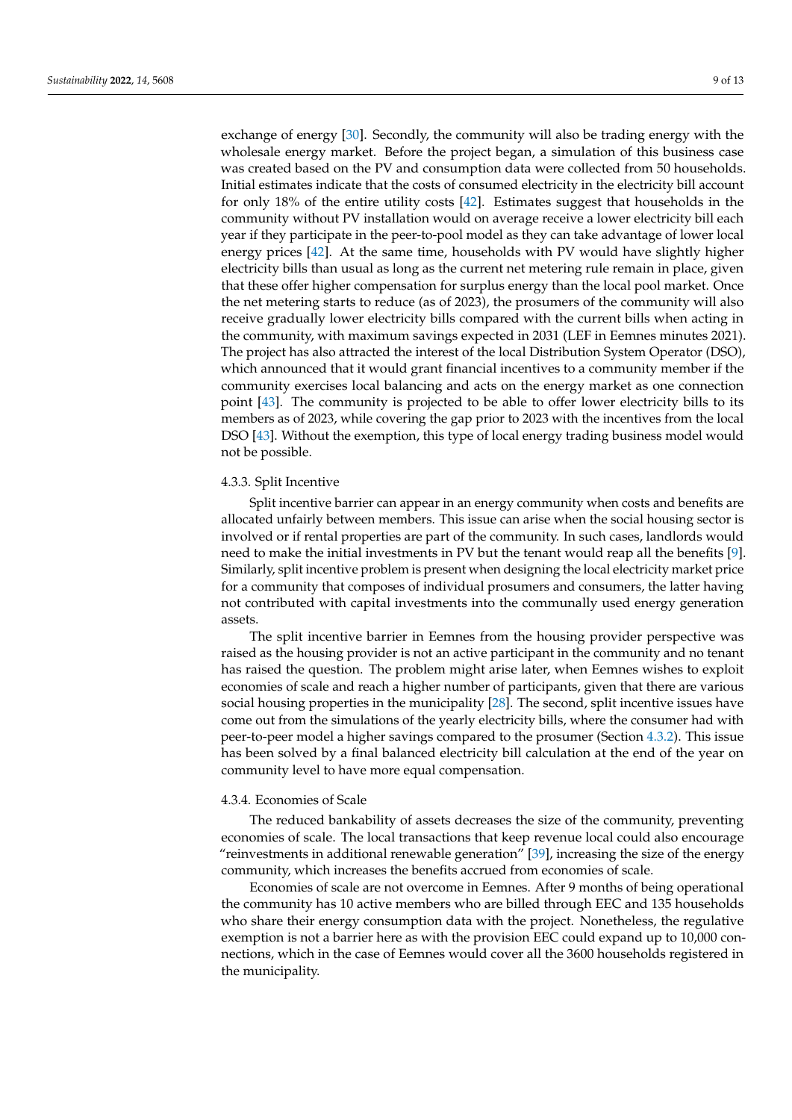exchange of energy [\[30\]](#page-11-13). Secondly, the community will also be trading energy with the wholesale energy market. Before the project began, a simulation of this business case was created based on the PV and consumption data were collected from 50 households. Initial estimates indicate that the costs of consumed electricity in the electricity bill account for only 18% of the entire utility costs [\[42\]](#page-11-25). Estimates suggest that households in the community without PV installation would on average receive a lower electricity bill each year if they participate in the peer-to-pool model as they can take advantage of lower local energy prices [\[42\]](#page-11-25). At the same time, households with PV would have slightly higher electricity bills than usual as long as the current net metering rule remain in place, given that these offer higher compensation for surplus energy than the local pool market. Once the net metering starts to reduce (as of 2023), the prosumers of the community will also receive gradually lower electricity bills compared with the current bills when acting in the community, with maximum savings expected in 2031 (LEF in Eemnes minutes 2021). The project has also attracted the interest of the local Distribution System Operator (DSO), which announced that it would grant financial incentives to a community member if the community exercises local balancing and acts on the energy market as one connection point [\[43\]](#page-12-0). The community is projected to be able to offer lower electricity bills to its members as of 2023, while covering the gap prior to 2023 with the incentives from the local DSO [\[43\]](#page-12-0). Without the exemption, this type of local energy trading business model would not be possible.

#### 4.3.3. Split Incentive

Split incentive barrier can appear in an energy community when costs and benefits are allocated unfairly between members. This issue can arise when the social housing sector is involved or if rental properties are part of the community. In such cases, landlords would need to make the initial investments in PV but the tenant would reap all the benefits [\[9\]](#page-10-8). Similarly, split incentive problem is present when designing the local electricity market price for a community that composes of individual prosumers and consumers, the latter having not contributed with capital investments into the communally used energy generation assets.

The split incentive barrier in Eemnes from the housing provider perspective was raised as the housing provider is not an active participant in the community and no tenant has raised the question. The problem might arise later, when Eemnes wishes to exploit economies of scale and reach a higher number of participants, given that there are various social housing properties in the municipality [\[28\]](#page-11-11). The second, split incentive issues have come out from the simulations of the yearly electricity bills, where the consumer had with peer-to-peer model a higher savings compared to the prosumer (Section [4.3.2\)](#page-7-0). This issue has been solved by a final balanced electricity bill calculation at the end of the year on community level to have more equal compensation.

## 4.3.4. Economies of Scale

The reduced bankability of assets decreases the size of the community, preventing economies of scale. The local transactions that keep revenue local could also encourage "reinvestments in additional renewable generation" [\[39\]](#page-11-22), increasing the size of the energy community, which increases the benefits accrued from economies of scale.

Economies of scale are not overcome in Eemnes. After 9 months of being operational the community has 10 active members who are billed through EEC and 135 households who share their energy consumption data with the project. Nonetheless, the regulative exemption is not a barrier here as with the provision EEC could expand up to 10,000 connections, which in the case of Eemnes would cover all the 3600 households registered in the municipality.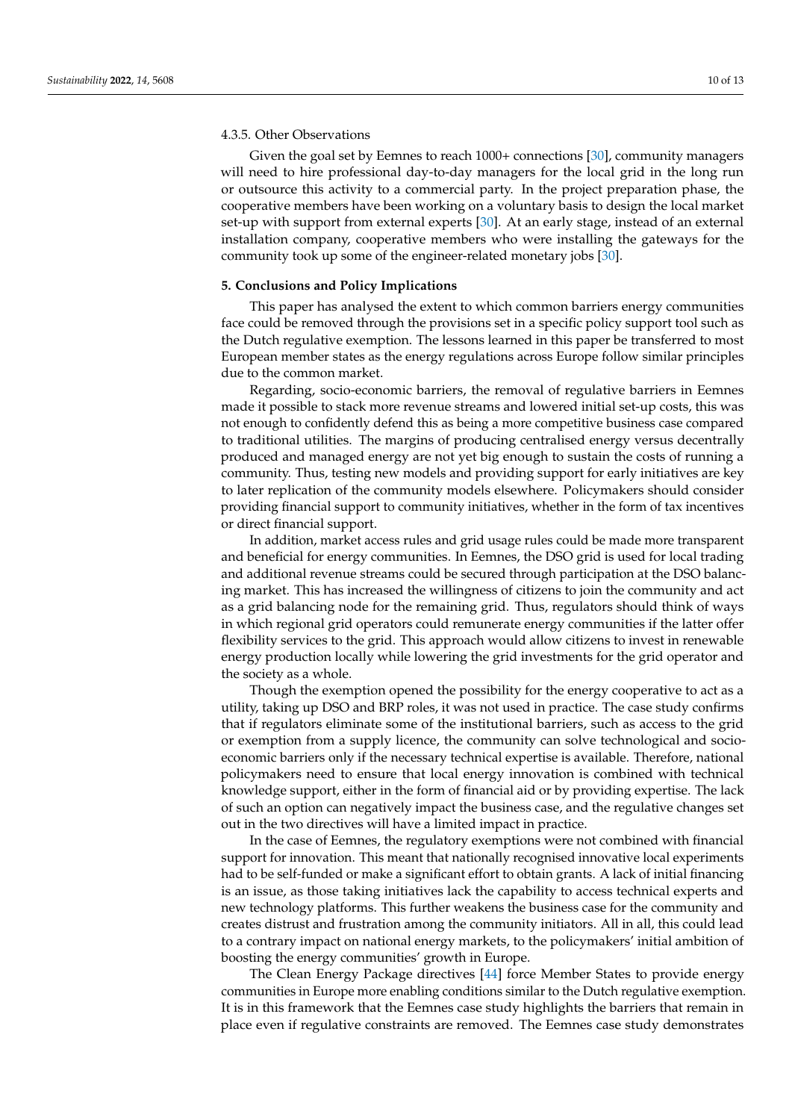#### 4.3.5. Other Observations

Given the goal set by Eemnes to reach 1000+ connections [\[30\]](#page-11-13), community managers will need to hire professional day-to-day managers for the local grid in the long run or outsource this activity to a commercial party. In the project preparation phase, the cooperative members have been working on a voluntary basis to design the local market set-up with support from external experts [\[30\]](#page-11-13). At an early stage, instead of an external installation company, cooperative members who were installing the gateways for the community took up some of the engineer-related monetary jobs [\[30\]](#page-11-13).

#### <span id="page-9-0"></span>**5. Conclusions and Policy Implications**

This paper has analysed the extent to which common barriers energy communities face could be removed through the provisions set in a specific policy support tool such as the Dutch regulative exemption. The lessons learned in this paper be transferred to most European member states as the energy regulations across Europe follow similar principles due to the common market.

Regarding, socio-economic barriers, the removal of regulative barriers in Eemnes made it possible to stack more revenue streams and lowered initial set-up costs, this was not enough to confidently defend this as being a more competitive business case compared to traditional utilities. The margins of producing centralised energy versus decentrally produced and managed energy are not yet big enough to sustain the costs of running a community. Thus, testing new models and providing support for early initiatives are key to later replication of the community models elsewhere. Policymakers should consider providing financial support to community initiatives, whether in the form of tax incentives or direct financial support.

In addition, market access rules and grid usage rules could be made more transparent and beneficial for energy communities. In Eemnes, the DSO grid is used for local trading and additional revenue streams could be secured through participation at the DSO balancing market. This has increased the willingness of citizens to join the community and act as a grid balancing node for the remaining grid. Thus, regulators should think of ways in which regional grid operators could remunerate energy communities if the latter offer flexibility services to the grid. This approach would allow citizens to invest in renewable energy production locally while lowering the grid investments for the grid operator and the society as a whole.

Though the exemption opened the possibility for the energy cooperative to act as a utility, taking up DSO and BRP roles, it was not used in practice. The case study confirms that if regulators eliminate some of the institutional barriers, such as access to the grid or exemption from a supply licence, the community can solve technological and socioeconomic barriers only if the necessary technical expertise is available. Therefore, national policymakers need to ensure that local energy innovation is combined with technical knowledge support, either in the form of financial aid or by providing expertise. The lack of such an option can negatively impact the business case, and the regulative changes set out in the two directives will have a limited impact in practice.

In the case of Eemnes, the regulatory exemptions were not combined with financial support for innovation. This meant that nationally recognised innovative local experiments had to be self-funded or make a significant effort to obtain grants. A lack of initial financing is an issue, as those taking initiatives lack the capability to access technical experts and new technology platforms. This further weakens the business case for the community and creates distrust and frustration among the community initiators. All in all, this could lead to a contrary impact on national energy markets, to the policymakers' initial ambition of boosting the energy communities' growth in Europe.

The Clean Energy Package directives [\[44\]](#page-12-1) force Member States to provide energy communities in Europe more enabling conditions similar to the Dutch regulative exemption. It is in this framework that the Eemnes case study highlights the barriers that remain in place even if regulative constraints are removed. The Eemnes case study demonstrates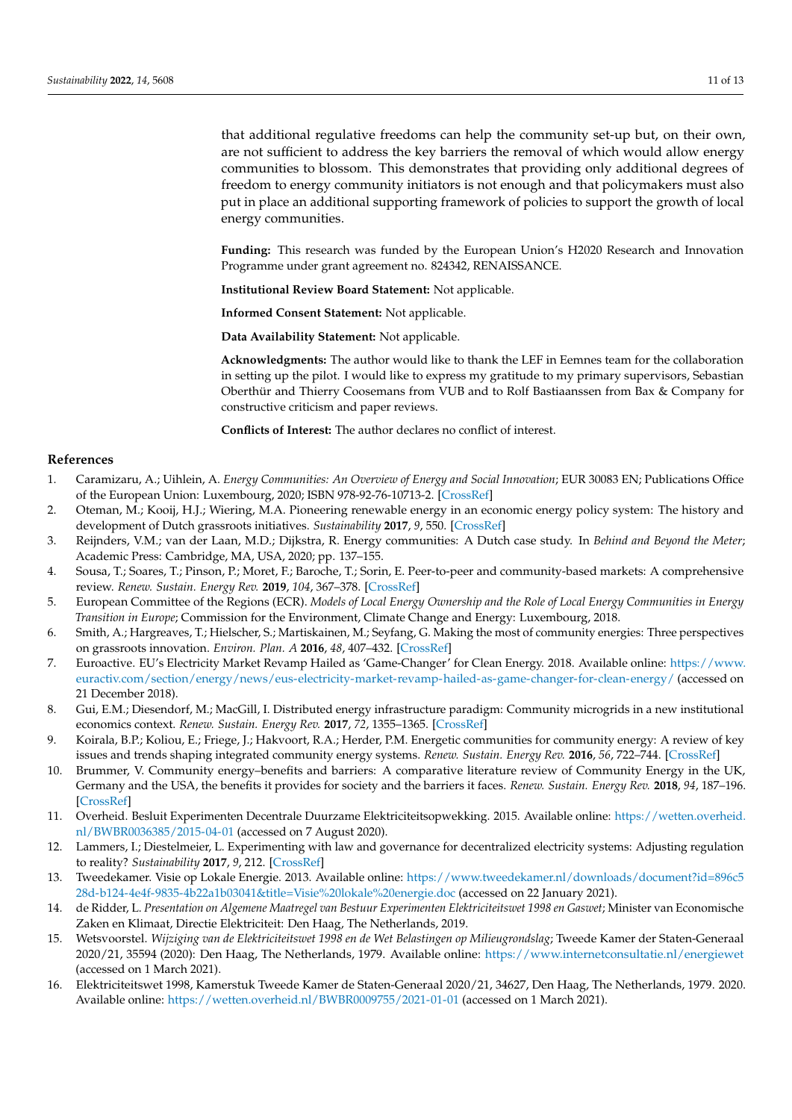that additional regulative freedoms can help the community set-up but, on their own, are not sufficient to address the key barriers the removal of which would allow energy communities to blossom. This demonstrates that providing only additional degrees of freedom to energy community initiators is not enough and that policymakers must also put in place an additional supporting framework of policies to support the growth of local energy communities.

**Funding:** This research was funded by the European Union's H2020 Research and Innovation Programme under grant agreement no. 824342, RENAISSANCE.

**Institutional Review Board Statement:** Not applicable.

**Informed Consent Statement:** Not applicable.

**Data Availability Statement:** Not applicable.

**Acknowledgments:** The author would like to thank the LEF in Eemnes team for the collaboration in setting up the pilot. I would like to express my gratitude to my primary supervisors, Sebastian Oberthür and Thierry Coosemans from VUB and to Rolf Bastiaanssen from Bax & Company for constructive criticism and paper reviews.

**Conflicts of Interest:** The author declares no conflict of interest.

## **References**

- <span id="page-10-0"></span>1. Caramizaru, A.; Uihlein, A. *Energy Communities: An Overview of Energy and Social Innovation*; EUR 30083 EN; Publications Office of the European Union: Luxembourg, 2020; ISBN 978-92-76-10713-2. [\[CrossRef\]](http://doi.org/10.2760/180576)
- <span id="page-10-1"></span>2. Oteman, M.; Kooij, H.J.; Wiering, M.A. Pioneering renewable energy in an economic energy policy system: The history and development of Dutch grassroots initiatives. *Sustainability* **2017**, *9*, 550. [\[CrossRef\]](http://doi.org/10.3390/su9040550)
- <span id="page-10-2"></span>3. Reijnders, V.M.; van der Laan, M.D.; Dijkstra, R. Energy communities: A Dutch case study. In *Behind and Beyond the Meter*; Academic Press: Cambridge, MA, USA, 2020; pp. 137–155.
- <span id="page-10-3"></span>4. Sousa, T.; Soares, T.; Pinson, P.; Moret, F.; Baroche, T.; Sorin, E. Peer-to-peer and community-based markets: A comprehensive review. *Renew. Sustain. Energy Rev.* **2019**, *104*, 367–378. [\[CrossRef\]](http://doi.org/10.1016/j.rser.2019.01.036)
- <span id="page-10-4"></span>5. European Committee of the Regions (ECR). *Models of Local Energy Ownership and the Role of Local Energy Communities in Energy Transition in Europe*; Commission for the Environment, Climate Change and Energy: Luxembourg, 2018.
- <span id="page-10-5"></span>6. Smith, A.; Hargreaves, T.; Hielscher, S.; Martiskainen, M.; Seyfang, G. Making the most of community energies: Three perspectives on grassroots innovation. *Environ. Plan. A* **2016**, *48*, 407–432. [\[CrossRef\]](http://doi.org/10.1177/0308518X15597908)
- <span id="page-10-6"></span>7. Euroactive. EU's Electricity Market Revamp Hailed as 'Game-Changer' for Clean Energy. 2018. Available online: [https://www.](https://www.euractiv.com/section/energy/news/eus-electricity-market-revamp-hailed-as-game-changer-for-clean-energy/) [euractiv.com/section/energy/news/eus-electricity-market-revamp-hailed-as-game-changer-for-clean-energy/](https://www.euractiv.com/section/energy/news/eus-electricity-market-revamp-hailed-as-game-changer-for-clean-energy/) (accessed on 21 December 2018).
- <span id="page-10-7"></span>8. Gui, E.M.; Diesendorf, M.; MacGill, I. Distributed energy infrastructure paradigm: Community microgrids in a new institutional economics context. *Renew. Sustain. Energy Rev.* **2017**, *72*, 1355–1365. [\[CrossRef\]](http://doi.org/10.1016/j.rser.2016.10.047)
- <span id="page-10-8"></span>9. Koirala, B.P.; Koliou, E.; Friege, J.; Hakvoort, R.A.; Herder, P.M. Energetic communities for community energy: A review of key issues and trends shaping integrated community energy systems. *Renew. Sustain. Energy Rev.* **2016**, *56*, 722–744. [\[CrossRef\]](http://doi.org/10.1016/j.rser.2015.11.080)
- <span id="page-10-9"></span>10. Brummer, V. Community energy–benefits and barriers: A comparative literature review of Community Energy in the UK, Germany and the USA, the benefits it provides for society and the barriers it faces. *Renew. Sustain. Energy Rev.* **2018**, *94*, 187–196. [\[CrossRef\]](http://doi.org/10.1016/j.rser.2018.06.013)
- <span id="page-10-10"></span>11. Overheid. Besluit Experimenten Decentrale Duurzame Elektriciteitsopwekking. 2015. Available online: [https://wetten.overheid.](https://wetten.overheid.nl/BWBR0036385/2015-04-01) [nl/BWBR0036385/2015-04-01](https://wetten.overheid.nl/BWBR0036385/2015-04-01) (accessed on 7 August 2020).
- <span id="page-10-11"></span>12. Lammers, I.; Diestelmeier, L. Experimenting with law and governance for decentralized electricity systems: Adjusting regulation to reality? *Sustainability* **2017**, *9*, 212. [\[CrossRef\]](http://doi.org/10.3390/su9020212)
- <span id="page-10-12"></span>13. Tweedekamer. Visie op Lokale Energie. 2013. Available online: [https://www.tweedekamer.nl/downloads/document?id=896c5](https://www.tweedekamer.nl/downloads/document?id=896c528d-b124-4e4f-9835-4b22a1b03041&title=Visie%20lokale%20energie.doc) [28d-b124-4e4f-9835-4b22a1b03041&title=Visie%20lokale%20energie.doc](https://www.tweedekamer.nl/downloads/document?id=896c528d-b124-4e4f-9835-4b22a1b03041&title=Visie%20lokale%20energie.doc) (accessed on 22 January 2021).
- <span id="page-10-13"></span>14. de Ridder, L. *Presentation on Algemene Maatregel van Bestuur Experimenten Elektriciteitswet 1998 en Gaswet*; Minister van Economische Zaken en Klimaat, Directie Elektriciteit: Den Haag, The Netherlands, 2019.
- <span id="page-10-14"></span>15. Wetsvoorstel. *Wijziging van de Elektriciteitswet 1998 en de Wet Belastingen op Milieugrondslag*; Tweede Kamer der Staten-Generaal 2020/21, 35594 (2020): Den Haag, The Netherlands, 1979. Available online: <https://www.internetconsultatie.nl/energiewet> (accessed on 1 March 2021).
- <span id="page-10-15"></span>16. Elektriciteitswet 1998, Kamerstuk Tweede Kamer de Staten-Generaal 2020/21, 34627, Den Haag, The Netherlands, 1979. 2020. Available online: <https://wetten.overheid.nl/BWBR0009755/2021-01-01> (accessed on 1 March 2021).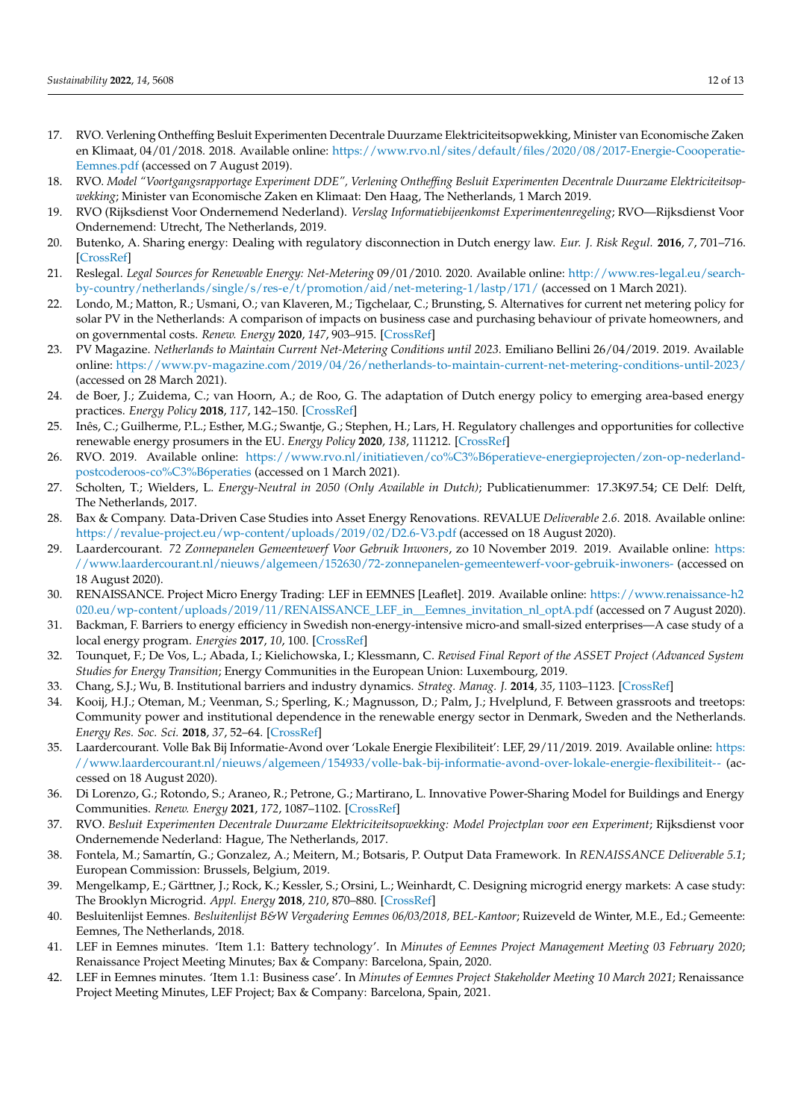- <span id="page-11-0"></span>17. RVO. Verlening Ontheffing Besluit Experimenten Decentrale Duurzame Elektriciteitsopwekking, Minister van Economische Zaken en Klimaat, 04/01/2018. 2018. Available online: [https://www.rvo.nl/sites/default/files/2020/08/2017-Energie-Coooperatie-](https://www.rvo.nl/sites/default/files/2020/08/2017-Energie-Coooperatie-Eemnes.pdf)[Eemnes.pdf](https://www.rvo.nl/sites/default/files/2020/08/2017-Energie-Coooperatie-Eemnes.pdf) (accessed on 7 August 2019).
- <span id="page-11-1"></span>18. RVO. *Model "Voortgangsrapportage Experiment DDE", Verlening Ontheffing Besluit Experimenten Decentrale Duurzame Elektriciteitsopwekking*; Minister van Economische Zaken en Klimaat: Den Haag, The Netherlands, 1 March 2019.
- <span id="page-11-2"></span>19. RVO (Rijksdienst Voor Ondernemend Nederland). *Verslag Informatiebijeenkomst Experimentenregeling*; RVO—Rijksdienst Voor Ondernemend: Utrecht, The Netherlands, 2019.
- <span id="page-11-3"></span>20. Butenko, A. Sharing energy: Dealing with regulatory disconnection in Dutch energy law. *Eur. J. Risk Regul.* **2016**, *7*, 701–716. [\[CrossRef\]](http://doi.org/10.1017/S1867299X00010138)
- <span id="page-11-4"></span>21. Reslegal. *Legal Sources for Renewable Energy: Net-Metering* 09/01/2010. 2020. Available online: [http://www.res-legal.eu/search](http://www.res-legal.eu/search-by-country/netherlands/single/s/res-e/t/promotion/aid/net-metering-1/lastp/171/)[by-country/netherlands/single/s/res-e/t/promotion/aid/net-metering-1/lastp/171/](http://www.res-legal.eu/search-by-country/netherlands/single/s/res-e/t/promotion/aid/net-metering-1/lastp/171/) (accessed on 1 March 2021).
- <span id="page-11-5"></span>22. Londo, M.; Matton, R.; Usmani, O.; van Klaveren, M.; Tigchelaar, C.; Brunsting, S. Alternatives for current net metering policy for solar PV in the Netherlands: A comparison of impacts on business case and purchasing behaviour of private homeowners, and on governmental costs. *Renew. Energy* **2020**, *147*, 903–915. [\[CrossRef\]](http://doi.org/10.1016/j.renene.2019.09.062)
- <span id="page-11-6"></span>23. PV Magazine. *Netherlands to Maintain Current Net-Metering Conditions until 2023*. Emiliano Bellini 26/04/2019. 2019. Available online: <https://www.pv-magazine.com/2019/04/26/netherlands-to-maintain-current-net-metering-conditions-until-2023/> (accessed on 28 March 2021).
- <span id="page-11-7"></span>24. de Boer, J.; Zuidema, C.; van Hoorn, A.; de Roo, G. The adaptation of Dutch energy policy to emerging area-based energy practices. *Energy Policy* **2018**, *117*, 142–150. [\[CrossRef\]](http://doi.org/10.1016/j.enpol.2018.02.008)
- <span id="page-11-8"></span>25. Inês, C.; Guilherme, P.L.; Esther, M.G.; Swantje, G.; Stephen, H.; Lars, H. Regulatory challenges and opportunities for collective renewable energy prosumers in the EU. *Energy Policy* **2020**, *138*, 111212. [\[CrossRef\]](http://doi.org/10.1016/j.enpol.2019.111212)
- <span id="page-11-9"></span>26. RVO. 2019. Available online: [https://www.rvo.nl/initiatieven/co%C3%B6peratieve-energieprojecten/zon-op-nederland](https://www.rvo.nl/initiatieven/co%C3%B6peratieve-energieprojecten/zon-op-nederland-postcoderoos-co%C3%B6peraties)[postcoderoos-co%C3%B6peraties](https://www.rvo.nl/initiatieven/co%C3%B6peratieve-energieprojecten/zon-op-nederland-postcoderoos-co%C3%B6peraties) (accessed on 1 March 2021).
- <span id="page-11-10"></span>27. Scholten, T.; Wielders, L. *Energy-Neutral in 2050 (Only Available in Dutch)*; Publicatienummer: 17.3K97.54; CE Delf: Delft, The Netherlands, 2017.
- <span id="page-11-11"></span>28. Bax & Company. Data-Driven Case Studies into Asset Energy Renovations. REVALUE *Deliverable 2.6*. 2018. Available online: <https://revalue-project.eu/wp-content/uploads/2019/02/D2.6-V3.pdf> (accessed on 18 August 2020).
- <span id="page-11-12"></span>29. Laardercourant. *72 Zonnepanelen Gemeentewerf Voor Gebruik Inwoners*, zo 10 November 2019. 2019. Available online: [https:](https://www.laardercourant.nl/nieuws/algemeen/152630/72-zonnepanelen-gemeentewerf-voor-gebruik-inwoners-) [//www.laardercourant.nl/nieuws/algemeen/152630/72-zonnepanelen-gemeentewerf-voor-gebruik-inwoners-](https://www.laardercourant.nl/nieuws/algemeen/152630/72-zonnepanelen-gemeentewerf-voor-gebruik-inwoners-) (accessed on 18 August 2020).
- <span id="page-11-13"></span>30. RENAISSANCE. Project Micro Energy Trading: LEF in EEMNES [Leaflet]. 2019. Available online: [https://www.renaissance-h2](https://www.renaissance-h2020.eu/wp-content/uploads/2019/11/RENAISSANCE_LEF_in__Eemnes_invitation_nl_optA.pdf) [020.eu/wp-content/uploads/2019/11/RENAISSANCE\\_LEF\\_in\\_\\_Eemnes\\_invitation\\_nl\\_optA.pdf](https://www.renaissance-h2020.eu/wp-content/uploads/2019/11/RENAISSANCE_LEF_in__Eemnes_invitation_nl_optA.pdf) (accessed on 7 August 2020).
- <span id="page-11-14"></span>31. Backman, F. Barriers to energy efficiency in Swedish non-energy-intensive micro-and small-sized enterprises—A case study of a local energy program. *Energies* **2017**, *10*, 100. [\[CrossRef\]](http://doi.org/10.3390/en10010100)
- <span id="page-11-15"></span>32. Tounquet, F.; De Vos, L.; Abada, I.; Kielichowska, I.; Klessmann, C. *Revised Final Report of the ASSET Project (Advanced System Studies for Energy Transition*; Energy Communities in the European Union: Luxembourg, 2019.
- <span id="page-11-16"></span>33. Chang, S.J.; Wu, B. Institutional barriers and industry dynamics. *Strateg. Manag. J.* **2014**, *35*, 1103–1123. [\[CrossRef\]](http://doi.org/10.1002/smj.2152)
- <span id="page-11-17"></span>34. Kooij, H.J.; Oteman, M.; Veenman, S.; Sperling, K.; Magnusson, D.; Palm, J.; Hvelplund, F. Between grassroots and treetops: Community power and institutional dependence in the renewable energy sector in Denmark, Sweden and the Netherlands. *Energy Res. Soc. Sci.* **2018**, *37*, 52–64. [\[CrossRef\]](http://doi.org/10.1016/j.erss.2017.09.019)
- <span id="page-11-18"></span>35. Laardercourant. Volle Bak Bij Informatie-Avond over 'Lokale Energie Flexibiliteit': LEF, 29/11/2019. 2019. Available online: [https:](https://www.laardercourant.nl/nieuws/algemeen/154933/volle-bak-bij-informatie-avond-over-lokale-energie-flexibiliteit--) [//www.laardercourant.nl/nieuws/algemeen/154933/volle-bak-bij-informatie-avond-over-lokale-energie-flexibiliteit--](https://www.laardercourant.nl/nieuws/algemeen/154933/volle-bak-bij-informatie-avond-over-lokale-energie-flexibiliteit--) (accessed on 18 August 2020).
- <span id="page-11-19"></span>36. Di Lorenzo, G.; Rotondo, S.; Araneo, R.; Petrone, G.; Martirano, L. Innovative Power-Sharing Model for Buildings and Energy Communities. *Renew. Energy* **2021**, *172*, 1087–1102. [\[CrossRef\]](http://doi.org/10.1016/j.renene.2021.03.063)
- <span id="page-11-20"></span>37. RVO. *Besluit Experimenten Decentrale Duurzame Elektriciteitsopwekking: Model Projectplan voor een Experiment*; Rijksdienst voor Ondernemende Nederland: Hague, The Netherlands, 2017.
- <span id="page-11-21"></span>38. Fontela, M.; Samartín, G.; Gonzalez, A.; Meitern, M.; Botsaris, P. Output Data Framework. In *RENAISSANCE Deliverable 5.1*; European Commission: Brussels, Belgium, 2019.
- <span id="page-11-22"></span>39. Mengelkamp, E.; Gärttner, J.; Rock, K.; Kessler, S.; Orsini, L.; Weinhardt, C. Designing microgrid energy markets: A case study: The Brooklyn Microgrid. *Appl. Energy* **2018**, *210*, 870–880. [\[CrossRef\]](http://doi.org/10.1016/j.apenergy.2017.06.054)
- <span id="page-11-23"></span>40. Besluitenlijst Eemnes. *Besluitenlijst B&W Vergadering Eemnes 06/03/2018, BEL-Kantoor*; Ruizeveld de Winter, M.E., Ed.; Gemeente: Eemnes, The Netherlands, 2018.
- <span id="page-11-24"></span>41. LEF in Eemnes minutes. 'Item 1.1: Battery technology'. In *Minutes of Eemnes Project Management Meeting 03 February 2020*; Renaissance Project Meeting Minutes; Bax & Company: Barcelona, Spain, 2020.
- <span id="page-11-25"></span>42. LEF in Eemnes minutes. 'Item 1.1: Business case'. In *Minutes of Eemnes Project Stakeholder Meeting 10 March 2021*; Renaissance Project Meeting Minutes, LEF Project; Bax & Company: Barcelona, Spain, 2021.